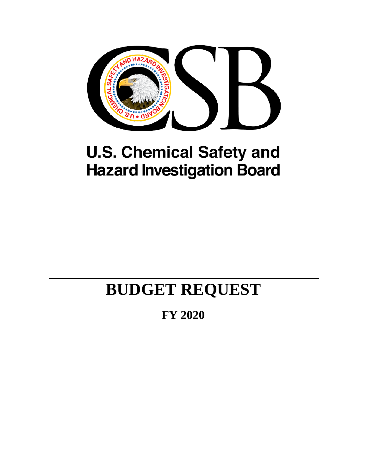

# **U.S. Chemical Safety and Hazard Investigation Board**

# **BUDGET REQUEST**

**FY 2020**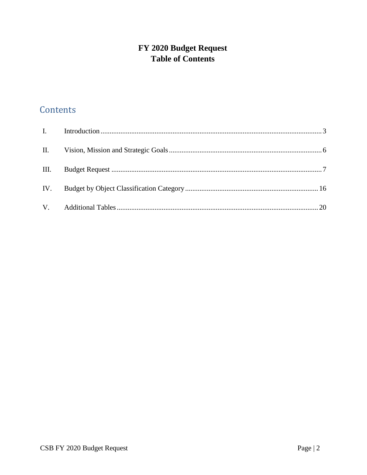# FY 2020 Budget Request **Table of Contents**

# Contents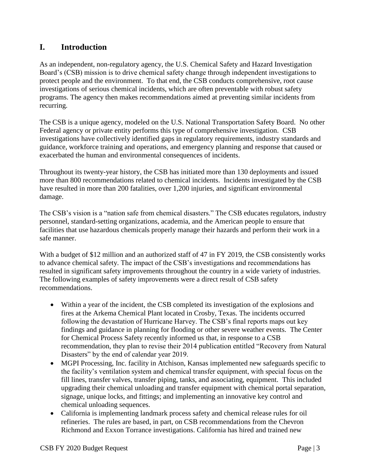# <span id="page-2-0"></span>**I. Introduction**

As an independent, non-regulatory agency, the U.S. Chemical Safety and Hazard Investigation Board's (CSB) mission is to drive chemical safety change through independent investigations to protect people and the environment. To that end, the CSB conducts comprehensive, root cause investigations of serious chemical incidents, which are often preventable with robust safety programs. The agency then makes recommendations aimed at preventing similar incidents from recurring.

The CSB is a unique agency, modeled on the U.S. National Transportation Safety Board. No other Federal agency or private entity performs this type of comprehensive investigation. CSB investigations have collectively identified gaps in regulatory requirements, industry standards and guidance, workforce training and operations, and emergency planning and response that caused or exacerbated the human and environmental consequences of incidents.

Throughout its twenty-year history, the CSB has initiated more than 130 deployments and issued more than 800 recommendations related to chemical incidents. Incidents investigated by the CSB have resulted in more than 200 fatalities, over 1,200 injuries, and significant environmental damage.

The CSB's vision is a "nation safe from chemical disasters." The CSB educates regulators, industry personnel, standard-setting organizations, academia, and the American people to ensure that facilities that use hazardous chemicals properly manage their hazards and perform their work in a safe manner.

With a budget of \$12 million and an authorized staff of 47 in FY 2019, the CSB consistently works to advance chemical safety. The impact of the CSB's investigations and recommendations has resulted in significant safety improvements throughout the country in a wide variety of industries. The following examples of safety improvements were a direct result of CSB safety recommendations.

- Within a year of the incident, the CSB completed its investigation of the explosions and fires at the Arkema Chemical Plant located in Crosby, Texas. The incidents occurred following the devastation of Hurricane Harvey. The CSB's final reports maps out key findings and guidance in planning for flooding or other severe weather events. The Center for Chemical Process Safety recently informed us that, in response to a CSB recommendation, they plan to revise their 2014 publication entitled "Recovery from Natural Disasters" by the end of calendar year 2019.
- MGPI Processing, Inc. facility in Atchison, Kansas implemented new safeguards specific to the facility's ventilation system and chemical transfer equipment, with special focus on the fill lines, transfer valves, transfer piping, tanks, and associating, equipment. This included upgrading their chemical unloading and transfer equipment with chemical portal separation, signage, unique locks, and fittings; and implementing an innovative key control and chemical unloading sequences.
- California is implementing landmark process safety and chemical release rules for oil refineries. The rules are based, in part, on CSB recommendations from the Chevron Richmond and Exxon Torrance investigations. California has hired and trained new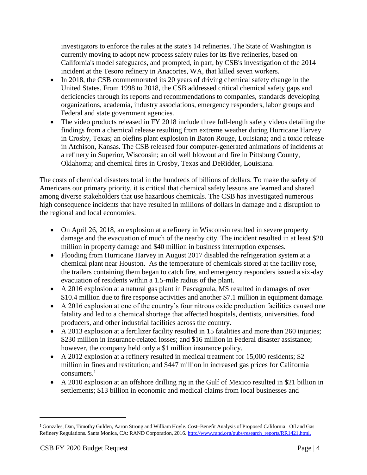investigators to enforce the rules at the state's 14 refineries. The State of Washington is currently moving to adopt new process safety rules for its five refineries, based on California's model safeguards, and prompted, in part, by CSB's investigation of the 2014 incident at the Tesoro refinery in Anacortes, WA, that killed seven workers*.*

- In 2018, the CSB commemorated its 20 years of driving chemical safety change in the United States. From 1998 to 2018, the CSB addressed critical chemical safety gaps and deficiencies through its reports and recommendations to companies, standards developing organizations, academia, industry associations, emergency responders, labor groups and Federal and state government agencies.
- The video products released in FY 2018 include three full-length safety videos detailing the findings from a chemical release resulting from extreme weather during Hurricane Harvey in Crosby, Texas; an olefins plant explosion in Baton Rouge, Louisiana; and a toxic release in Atchison, Kansas. The CSB released four computer-generated animations of incidents at a refinery in Superior, Wisconsin; an oil well blowout and fire in Pittsburg County, Oklahoma; and chemical fires in Crosby, Texas and DeRidder, Louisiana.

The costs of chemical disasters total in the hundreds of billions of dollars. To make the safety of Americans our primary priority, it is critical that chemical safety lessons are learned and shared among diverse stakeholders that use hazardous chemicals. The CSB has investigated numerous high consequence incidents that have resulted in millions of dollars in damage and a disruption to the regional and local economies.

- On April 26, 2018, an explosion at a refinery in Wisconsin resulted in severe property damage and the evacuation of much of the nearby city. The incident resulted in at least \$20 million in property damage and \$40 million in business interruption expenses.
- Flooding from Hurricane Harvey in August 2017 disabled the refrigeration system at a chemical plant near Houston. As the temperature of chemicals stored at the facility rose, the trailers containing them began to catch fire, and emergency responders issued a six-day evacuation of residents within a 1.5-mile radius of the plant.
- A 2016 explosion at a natural gas plant in Pascagoula, MS resulted in damages of over \$10.4 million due to fire response activities and another \$7.1 million in equipment damage.
- A 2016 explosion at one of the country's four nitrous oxide production facilities caused one fatality and led to a chemical shortage that affected hospitals, dentists, universities, food producers, and other industrial facilities across the country.
- A 2013 explosion at a fertilizer facility resulted in 15 fatalities and more than 260 injuries; \$230 million in insurance-related losses; and \$16 million in Federal disaster assistance; however, the company held only a \$1 million insurance policy.
- A 2012 explosion at a refinery resulted in medical treatment for 15,000 residents; \$2 million in fines and restitution; and \$447 million in increased gas prices for California consumers.<sup>1</sup>
- A 2010 explosion at an offshore drilling rig in the Gulf of Mexico resulted in \$21 billion in settlements; \$13 billion in economic and medical claims from local businesses and

 $\overline{\phantom{a}}$ 

<sup>1</sup> Gonzales, Dan, Timothy Gulden, Aaron Strong and William Hoyle. Cost–Benefit Analysis of Proposed California Oil and Gas Refinery Regulations. Santa Monica, CA: RAND Corporation, 2016. [http://www.rand.org/pubs/research\\_reports/RR1421.html.](http://www.rand.org/pubs/research_reports/RR1421.html.)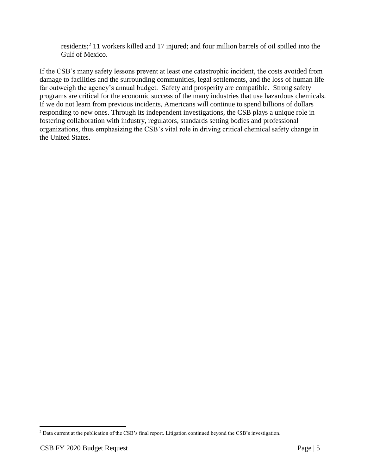residents;<sup>2</sup> 11 workers killed and 17 injured; and four million barrels of oil spilled into the Gulf of Mexico.

If the CSB's many safety lessons prevent at least one catastrophic incident, the costs avoided from damage to facilities and the surrounding communities, legal settlements, and the loss of human life far outweigh the agency's annual budget. Safety and prosperity are compatible. Strong safety programs are critical for the economic success of the many industries that use hazardous chemicals. If we do not learn from previous incidents, Americans will continue to spend billions of dollars responding to new ones. Through its independent investigations, the CSB plays a unique role in fostering collaboration with industry, regulators, standards setting bodies and professional organizations, thus emphasizing the CSB's vital role in driving critical chemical safety change in the United States.

l

<sup>2</sup> Data current at the publication of the CSB's final report. Litigation continued beyond the CSB's investigation.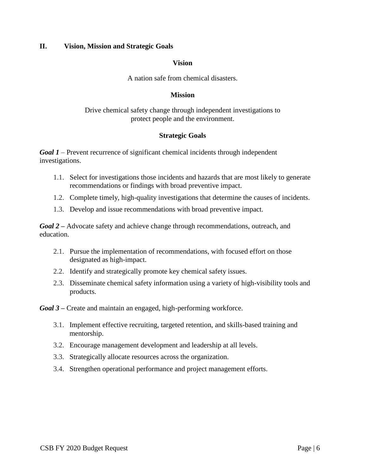#### <span id="page-5-0"></span>**II. Vision, Mission and Strategic Goals**

#### **Vision**

A nation safe from chemical disasters.

#### **Mission**

Drive chemical safety change through independent investigations to protect people and the environment.

#### **Strategic Goals**

*Goal 1 –* Prevent recurrence of significant chemical incidents through independent investigations.

- 1.1. Select for investigations those incidents and hazards that are most likely to generate recommendations or findings with broad preventive impact.
- 1.2. Complete timely, high-quality investigations that determine the causes of incidents.
- 1.3. Develop and issue recommendations with broad preventive impact.

*Goal 2 –* Advocate safety and achieve change through recommendations, outreach, and education.

- 2.1. Pursue the implementation of recommendations, with focused effort on those designated as high-impact.
- 2.2. Identify and strategically promote key chemical safety issues.
- 2.3. Disseminate chemical safety information using a variety of high-visibility tools and products.

*Goal 3 –* Create and maintain an engaged, high-performing workforce.

- 3.1. Implement effective recruiting, targeted retention, and skills-based training and mentorship.
- 3.2. Encourage management development and leadership at all levels.
- 3.3. Strategically allocate resources across the organization.
- 3.4. Strengthen operational performance and project management efforts.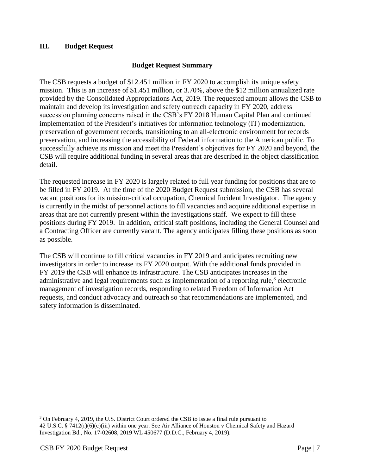# <span id="page-6-0"></span>**III. Budget Request**

# **Budget Request Summary**

The CSB requests a budget of \$12.451 million in FY 2020 to accomplish its unique safety mission. This is an increase of \$1.451 million, or 3.70%, above the \$12 million annualized rate provided by the Consolidated Appropriations Act, 2019. The requested amount allows the CSB to maintain and develop its investigation and safety outreach capacity in FY 2020, address succession planning concerns raised in the CSB's FY 2018 Human Capital Plan and continued implementation of the President's initiatives for information technology (IT) modernization, preservation of government records, transitioning to an all-electronic environment for records preservation, and increasing the accessibility of Federal information to the American public. To successfully achieve its mission and meet the President's objectives for FY 2020 and beyond, the CSB will require additional funding in several areas that are described in the object classification detail.

The requested increase in FY 2020 is largely related to full year funding for positions that are to be filled in FY 2019. At the time of the 2020 Budget Request submission, the CSB has several vacant positions for its mission-critical occupation, Chemical Incident Investigator. The agency is currently in the midst of personnel actions to fill vacancies and acquire additional expertise in areas that are not currently present within the investigations staff. We expect to fill these positions during FY 2019. In addition, critical staff positions, including the General Counsel and a Contracting Officer are currently vacant. The agency anticipates filling these positions as soon as possible.

The CSB will continue to fill critical vacancies in FY 2019 and anticipates recruiting new investigators in order to increase its FY 2020 output. With the additional funds provided in FY 2019 the CSB will enhance its infrastructure. The CSB anticipates increases in the administrative and legal requirements such as implementation of a reporting rule, $3$  electronic management of investigation records, responding to related Freedom of Information Act requests, and conduct advocacy and outreach so that recommendations are implemented, and safety information is disseminated.

 $\overline{a}$ 

<sup>&</sup>lt;sup>3</sup> On February 4, 2019, the U.S. District Court ordered the CSB to issue a final rule pursuant to 42 U.S.C. § 7412(r)(6)(c)(iii) within one year. See Air Alliance of Houston v Chemical Safety and Hazard Investigation Bd., No. 17-02608, 2019 WL 450677 (D.D.C., February 4, 2019).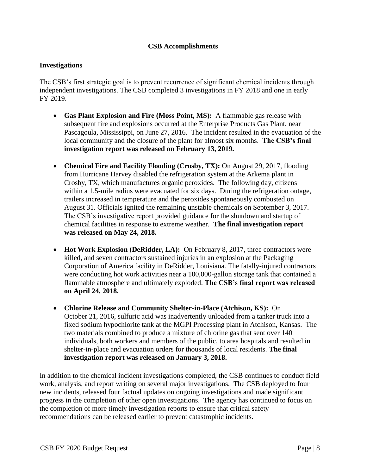# **CSB Accomplishments**

### **Investigations**

The CSB's first strategic goal is to prevent recurrence of significant chemical incidents through independent investigations. The CSB completed 3 investigations in FY 2018 and one in early FY 2019.

- **Gas Plant Explosion and Fire (Moss Point, MS):** A flammable gas release with subsequent fire and explosions occurred at the Enterprise Products Gas Plant, near Pascagoula, Mississippi, on June 27, 2016. The incident resulted in the evacuation of the local community and the closure of the plant for almost six months. **The CSB's final investigation report was released on February 13, 2019.**
- **Chemical Fire and Facility Flooding (Crosby, TX):** On August 29, 2017, flooding from Hurricane Harvey disabled the refrigeration system at the Arkema plant in Crosby, TX, which manufactures organic peroxides. The following day, citizens within a 1.5-mile radius were evacuated for six days. During the refrigeration outage, trailers increased in temperature and the peroxides spontaneously combusted on August 31. Officials ignited the remaining unstable chemicals on September 3, 2017. The CSB's investigative report provided guidance for the shutdown and startup of chemical facilities in response to extreme weather. **The final investigation report was released on May 24, 2018.**
- **Hot Work Explosion (DeRidder, LA):** On February 8, 2017, three contractors were killed, and seven contractors sustained injuries in an explosion at the Packaging Corporation of America facility in DeRidder, Louisiana. The fatally-injured contractors were conducting hot work activities near a 100,000-gallon storage tank that contained a flammable atmosphere and ultimately exploded. **The CSB's final report was released on April 24, 2018.**
- **Chlorine Release and Community Shelter-in-Place (Atchison, KS):** On October 21, 2016, sulfuric acid was inadvertently unloaded from a tanker truck into a fixed sodium hypochlorite tank at the MGPI Processing plant in Atchison, Kansas. The two materials combined to produce a mixture of chlorine gas that sent over 140 individuals, both workers and members of the public, to area hospitals and resulted in shelter-in-place and evacuation orders for thousands of local residents. **The final investigation report was released on January 3, 2018.**

In addition to the chemical incident investigations completed, the CSB continues to conduct field work, analysis, and report writing on several major investigations. The CSB deployed to four new incidents, released four factual updates on ongoing investigations and made significant progress in the completion of other open investigations. The agency has continued to focus on the completion of more timely investigation reports to ensure that critical safety recommendations can be released earlier to prevent catastrophic incidents.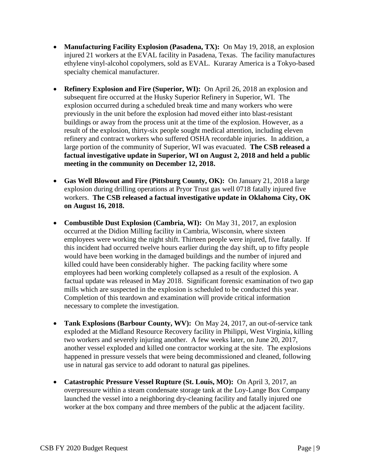- **Manufacturing Facility Explosion (Pasadena, TX):** On May 19, 2018, an explosion injured 21 workers at the EVAL facility in Pasadena, Texas. The facility manufactures ethylene vinyl-alcohol copolymers, sold as EVAL. Kuraray America is a Tokyo-based specialty chemical manufacturer.
- **Refinery Explosion and Fire (Superior, WI):** On April 26, 2018 an explosion and subsequent fire occurred at the Husky Superior Refinery in Superior, WI. The explosion occurred during a scheduled break time and many workers who were previously in the unit before the explosion had moved either into blast-resistant buildings or away from the process unit at the time of the explosion. However, as a result of the explosion, thirty-six people sought medical attention, including eleven refinery and contract workers who suffered OSHA recordable injuries. In addition, a large portion of the community of Superior, WI was evacuated. **The CSB released a factual investigative update in Superior, WI on August 2, 2018 and held a public meeting in the community on December 12, 2018.**
- **Gas Well Blowout and Fire (Pittsburg County, OK):** On January 21, 2018 a large explosion during drilling operations at Pryor Trust gas well 0718 fatally injured five workers. **The CSB released a factual investigative update in Oklahoma City, OK on August 16, 2018.**
- **Combustible Dust Explosion (Cambria, WI):** On May 31, 2017, an explosion occurred at the Didion Milling facility in Cambria, Wisconsin, where sixteen employees were working the night shift. Thirteen people were injured, five fatally. If this incident had occurred twelve hours earlier during the day shift, up to fifty people would have been working in the damaged buildings and the number of injured and killed could have been considerably higher. The packing facility where some employees had been working completely collapsed as a result of the explosion. A factual update was released in May 2018. Significant forensic examination of two gap mills which are suspected in the explosion is scheduled to be conducted this year. Completion of this teardown and examination will provide critical information necessary to complete the investigation.
- **Tank Explosions (Barbour County, WV):** On May 24, 2017, an out-of-service tank exploded at the Midland Resource Recovery facility in Philippi, West Virginia, killing two workers and severely injuring another. A few weeks later, on June 20, 2017, another vessel exploded and killed one contractor working at the site. The explosions happened in pressure vessels that were being decommissioned and cleaned, following use in natural gas service to add odorant to natural gas pipelines.
- **Catastrophic Pressure Vessel Rupture (St. Louis, MO):** On April 3, 2017, an overpressure within a steam condensate storage tank at the Loy-Lange Box Company launched the vessel into a neighboring dry-cleaning facility and fatally injured one worker at the box company and three members of the public at the adjacent facility.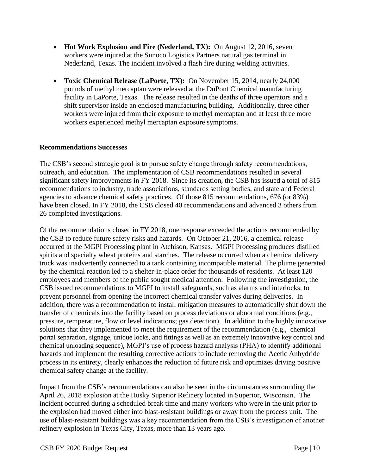- **Hot Work Explosion and Fire (Nederland, TX):** On August 12, 2016, seven workers were injured at the Sunoco Logistics Partners natural gas terminal in Nederland, Texas. The incident involved a flash fire during welding activities.
- **Toxic Chemical Release (LaPorte, TX):** On November 15, 2014, nearly 24,000 pounds of methyl mercaptan were released at the DuPont Chemical manufacturing facility in LaPorte, Texas. The release resulted in the deaths of three operators and a shift supervisor inside an enclosed manufacturing building. Additionally, three other workers were injured from their exposure to methyl mercaptan and at least three more workers experienced methyl mercaptan exposure symptoms.

# **Recommendations Successes**

The CSB's second strategic goal is to pursue safety change through safety recommendations, outreach, and education. The implementation of CSB recommendations resulted in several significant safety improvements in FY 2018. Since its creation, the CSB has issued a total of 815 recommendations to industry, trade associations, standards setting bodies, and state and Federal agencies to advance chemical safety practices. Of those 815 recommendations, 676 (or 83%) have been closed. In FY 2018, the CSB closed 40 recommendations and advanced 3 others from 26 completed investigations.

Of the recommendations closed in FY 2018, one response exceeded the actions recommended by the CSB to reduce future safety risks and hazards. On October 21, 2016, a chemical release occurred at the MGPI Processing plant in Atchison, Kansas. MGPI Processing produces distilled spirits and specialty wheat proteins and starches. The release occurred when a chemical delivery truck was inadvertently connected to a tank containing incompatible material. The plume generated by the chemical reaction led to a shelter-in-place order for thousands of residents. At least 120 employees and members of the public sought medical attention. Following the investigation, the CSB issued recommendations to MGPI to install safeguards, such as alarms and interlocks, to prevent personnel from opening the incorrect chemical transfer valves during deliveries. In addition, there was a recommendation to install mitigation measures to automatically shut down the transfer of chemicals into the facility based on process deviations or abnormal conditions (e.g., pressure, temperature, flow or level indications; gas detection). In addition to the highly innovative solutions that they implemented to meet the requirement of the recommendation (e.g., chemical portal separation, signage, unique locks, and fittings as well as an extremely innovative key control and chemical unloading sequence), MGPI's use of process hazard analysis (PHA) to identify additional hazards and implement the resulting corrective actions to include removing the Acetic Anhydride process in its entirety, clearly enhances the reduction of future risk and optimizes driving positive chemical safety change at the facility.

Impact from the CSB's recommendations can also be seen in the circumstances surrounding the April 26, 2018 explosion at the Husky Superior Refinery located in Superior, Wisconsin. The incident occurred during a scheduled break time and many workers who were in the unit prior to the explosion had moved either into blast-resistant buildings or away from the process unit. The use of blast-resistant buildings was a key recommendation from the CSB's investigation of another refinery explosion in Texas City, Texas, more than 13 years ago.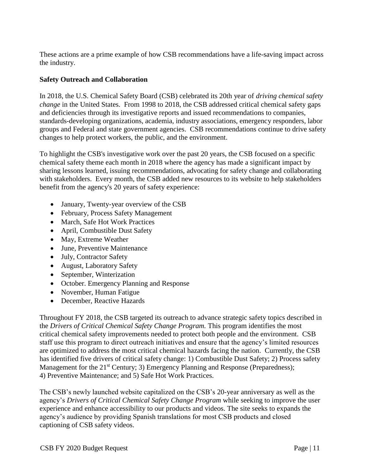These actions are a prime example of how CSB recommendations have a life-saving impact across the industry.

# **Safety Outreach and Collaboration**

In 2018, the U.S. Chemical Safety Board (CSB) celebrated its 20th year of *driving chemical safety change* in the United States. From 1998 to 2018, the CSB addressed critical chemical safety gaps and deficiencies through its investigative reports and issued recommendations to companies, standards-developing organizations, academia, industry associations, emergency responders, labor groups and Federal and state government agencies. CSB recommendations continue to drive safety changes to help protect workers, the public, and the environment.

To highlight the CSB's investigative work over the past 20 years, the CSB focused on a specific chemical safety theme each month in 2018 where the agency has made a significant impact by sharing lessons learned, issuing recommendations, advocating for safety change and collaborating with stakeholders. Every month, the CSB added new resources to its website to help stakeholders benefit from the agency's 20 years of safety experience:

- January, Twenty-year overview of the CSB
- February, Process Safety Management
- March, Safe Hot Work Practices
- April, Combustible Dust Safety
- May, Extreme Weather
- June, Preventive Maintenance
- July, Contractor Safety
- August, Laboratory Safety
- September, Winterization
- October. Emergency Planning and Response
- November, Human Fatigue
- December, Reactive Hazards

Throughout FY 2018, the CSB targeted its outreach to advance strategic safety topics described in the *Drivers of Critical Chemical Safety Change Program.* This program identifies the most critical chemical safety improvements needed to protect both people and the environment. CSB staff use this program to direct outreach initiatives and ensure that the agency's limited resources are optimized to address the most critical chemical hazards facing the nation. Currently, the CSB has identified five drivers of critical safety change: 1) Combustible Dust Safety; 2) Process safety Management for the 21<sup>st</sup> Century; 3) Emergency Planning and Response (Preparedness); 4) Preventive Maintenance; and 5) Safe Hot Work Practices.

The CSB's newly launched website capitalized on the CSB's 20-year anniversary as well as the agency's *Drivers of Critical Chemical Safety Change Program* while seeking to improve the user experience and enhance accessibility to our products and videos. The site seeks to expands the agency's audience by providing Spanish translations for most CSB products and closed captioning of CSB safety videos.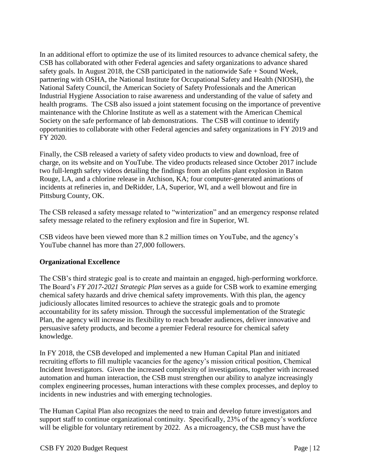In an additional effort to optimize the use of its limited resources to advance chemical safety, the CSB has collaborated with other Federal agencies and safety organizations to advance shared safety goals. In August 2018, the CSB participated in the nationwide Safe + Sound Week, partnering with OSHA, the National Institute for Occupational Safety and Health (NIOSH), the National Safety Council, the American Society of Safety Professionals and the American Industrial Hygiene Association to raise awareness and understanding of the value of safety and health programs. The CSB also issued a joint statement focusing on the importance of preventive maintenance with the Chlorine Institute as well as a statement with the American Chemical Society on the safe performance of lab demonstrations. The CSB will continue to identify opportunities to collaborate with other Federal agencies and safety organizations in FY 2019 and FY 2020.

Finally, the CSB released a variety of safety video products to view and download, free of charge, on its website and on YouTube. The video products released since October 2017 include two full-length safety videos detailing the findings from an olefins plant explosion in Baton Rouge, LA, and a chlorine release in Atchison, KA; four computer-generated animations of incidents at refineries in, and DeRidder, LA, Superior, WI, and a well blowout and fire in Pittsburg County, OK.

The CSB released a safety message related to "winterization" and an emergency response related safety message related to the refinery explosion and fire in Superior, WI.

CSB videos have been viewed more than 8.2 million times on YouTube, and the agency's YouTube channel has more than 27,000 followers.

# **Organizational Excellence**

The CSB's third strategic goal is to create and maintain an engaged, high-performing workforce. The Board's *FY 2017-2021 Strategic Plan* serves as a guide for CSB work to examine emerging chemical safety hazards and drive chemical safety improvements. With this plan, the agency judiciously allocates limited resources to achieve the strategic goals and to promote accountability for its safety mission. Through the successful implementation of the Strategic Plan, the agency will increase its flexibility to reach broader audiences, deliver innovative and persuasive safety products, and become a premier Federal resource for chemical safety knowledge.

In FY 2018, the CSB developed and implemented a new Human Capital Plan and initiated recruiting efforts to fill multiple vacancies for the agency's mission critical position, Chemical Incident Investigators. Given the increased complexity of investigations, together with increased automation and human interaction, the CSB must strengthen our ability to analyze increasingly complex engineering processes, human interactions with these complex processes, and deploy to incidents in new industries and with emerging technologies.

The Human Capital Plan also recognizes the need to train and develop future investigators and support staff to continue organizational continuity. Specifically, 23% of the agency's workforce will be eligible for voluntary retirement by 2022. As a microagency, the CSB must have the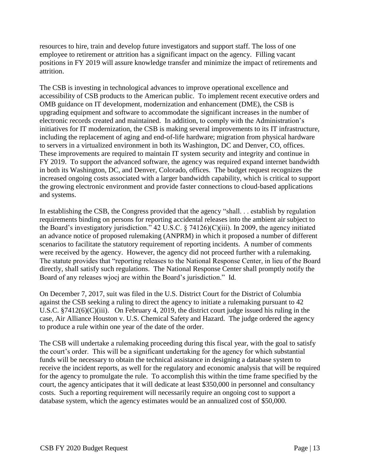resources to hire, train and develop future investigators and support staff. The loss of one employee to retirement or attrition has a significant impact on the agency. Filling vacant positions in FY 2019 will assure knowledge transfer and minimize the impact of retirements and attrition.

The CSB is investing in technological advances to improve operational excellence and accessibility of CSB products to the American public. To implement recent executive orders and OMB guidance on IT development, modernization and enhancement (DME), the CSB is upgrading equipment and software to accommodate the significant increases in the number of electronic records created and maintained. In addition, to comply with the Administration's initiatives for IT modernization, the CSB is making several improvements to its IT infrastructure, including the replacement of aging and end-of-life hardware; migration from physical hardware to servers in a virtualized environment in both its Washington, DC and Denver, CO, offices. These improvements are required to maintain IT system security and integrity and continue in FY 2019. To support the advanced software, the agency was required expand internet bandwidth in both its Washington, DC, and Denver, Colorado, offices. The budget request recognizes the increased ongoing costs associated with a larger bandwidth capability, which is critical to support the growing electronic environment and provide faster connections to cloud-based applications and systems.

In establishing the CSB, the Congress provided that the agency "shall. . . establish by regulation requirements binding on persons for reporting accidental releases into the ambient air subject to the Board's investigatory jurisdiction." 42 U.S.C. § 74126)(C)(iii). In 2009, the agency initiated an advance notice of proposed rulemaking (ANPRM) in which it proposed a number of different scenarios to facilitate the statutory requirement of reporting incidents. A number of comments were received by the agency. However, the agency did not proceed further with a rulemaking. The statute provides that "reporting releases to the National Response Center, in lieu of the Board directly, shall satisfy such regulations. The National Response Center shall promptly notify the Board of any releases wjocj are within the Board's jurisdiction." Id.

On December 7, 2017, suit was filed in the U.S. District Court for the District of Columbia against the CSB seeking a ruling to direct the agency to initiate a rulemaking pursuant to 42 U.S.C. §7412(6)(C)(iii). On February 4, 2019, the district court judge issued his ruling in the case, Air Alliance Houston v. U.S. Chemical Safety and Hazard. The judge ordered the agency to produce a rule within one year of the date of the order.

The CSB will undertake a rulemaking proceeding during this fiscal year, with the goal to satisfy the court's order. This will be a significant undertaking for the agency for which substantial funds will be necessary to obtain the technical assistance in designing a database system to receive the incident reports, as well for the regulatory and economic analysis that will be required for the agency to promulgate the rule. To accomplish this within the time frame specified by the court, the agency anticipates that it will dedicate at least \$350,000 in personnel and consultancy costs. Such a reporting requirement will necessarily require an ongoing cost to support a database system, which the agency estimates would be an annualized cost of \$50,000.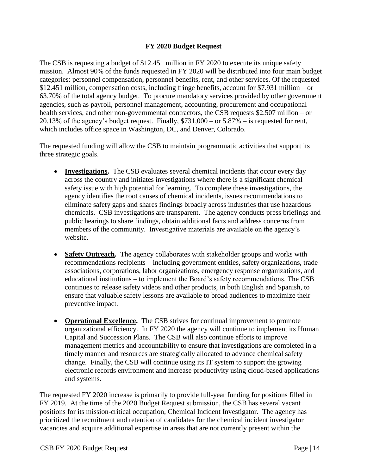# **FY 2020 Budget Request**

The CSB is requesting a budget of \$12.451 million in FY 2020 to execute its unique safety mission. Almost 90% of the funds requested in FY 2020 will be distributed into four main budget categories: personnel compensation, personnel benefits, rent, and other services. Of the requested \$12.451 million, compensation costs, including fringe benefits, account for \$7.931 million – or 63.70% of the total agency budget. To procure mandatory services provided by other government agencies, such as payroll, personnel management, accounting, procurement and occupational health services, and other non-governmental contractors, the CSB requests \$2.507 million – or 20.13% of the agency's budget request. Finally, \$731,000 – or 5.87% – is requested for rent, which includes office space in Washington, DC, and Denver, Colorado.

The requested funding will allow the CSB to maintain programmatic activities that support its three strategic goals.

- **Investigations.** The CSB evaluates several chemical incidents that occur every day across the country and initiates investigations where there is a significant chemical safety issue with high potential for learning. To complete these investigations, the agency identifies the root causes of chemical incidents, issues recommendations to eliminate safety gaps and shares findings broadly across industries that use hazardous chemicals. CSB investigations are transparent. The agency conducts press briefings and public hearings to share findings, obtain additional facts and address concerns from members of the community. Investigative materials are available on the agency's website.
- **Safety Outreach.** The agency collaborates with stakeholder groups and works with recommendations recipients – including government entities, safety organizations, trade associations, corporations, labor organizations, emergency response organizations, and educational institutions – to implement the Board's safety recommendations. The CSB continues to release safety videos and other products, in both English and Spanish, to ensure that valuable safety lessons are available to broad audiences to maximize their preventive impact.
- **Operational Excellence.** The CSB strives for continual improvement to promote organizational efficiency. In FY 2020 the agency will continue to implement its Human Capital and Succession Plans. The CSB will also continue efforts to improve management metrics and accountability to ensure that investigations are completed in a timely manner and resources are strategically allocated to advance chemical safety change. Finally, the CSB will continue using its IT system to support the growing electronic records environment and increase productivity using cloud-based applications and systems.

The requested FY 2020 increase is primarily to provide full-year funding for positions filled in FY 2019. At the time of the 2020 Budget Request submission, the CSB has several vacant positions for its mission-critical occupation, Chemical Incident Investigator. The agency has prioritized the recruitment and retention of candidates for the chemical incident investigator vacancies and acquire additional expertise in areas that are not currently present within the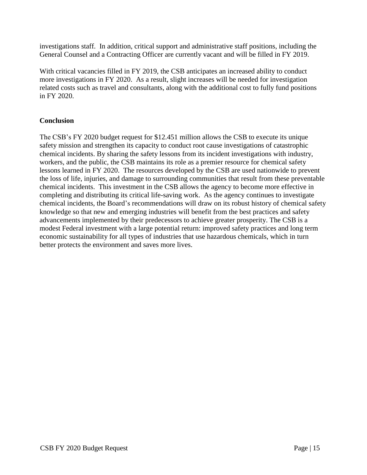investigations staff. In addition, critical support and administrative staff positions, including the General Counsel and a Contracting Officer are currently vacant and will be filled in FY 2019.

With critical vacancies filled in FY 2019, the CSB anticipates an increased ability to conduct more investigations in FY 2020. As a result, slight increases will be needed for investigation related costs such as travel and consultants, along with the additional cost to fully fund positions in FY 2020.

# **Conclusion**

The CSB's FY 2020 budget request for \$12.451 million allows the CSB to execute its unique safety mission and strengthen its capacity to conduct root cause investigations of catastrophic chemical incidents. By sharing the safety lessons from its incident investigations with industry, workers, and the public, the CSB maintains its role as a premier resource for chemical safety lessons learned in FY 2020. The resources developed by the CSB are used nationwide to prevent the loss of life, injuries, and damage to surrounding communities that result from these preventable chemical incidents. This investment in the CSB allows the agency to become more effective in completing and distributing its critical life-saving work. As the agency continues to investigate chemical incidents, the Board's recommendations will draw on its robust history of chemical safety knowledge so that new and emerging industries will benefit from the best practices and safety advancements implemented by their predecessors to achieve greater prosperity. The CSB is a modest Federal investment with a large potential return: improved safety practices and long term economic sustainability for all types of industries that use hazardous chemicals, which in turn better protects the environment and saves more lives.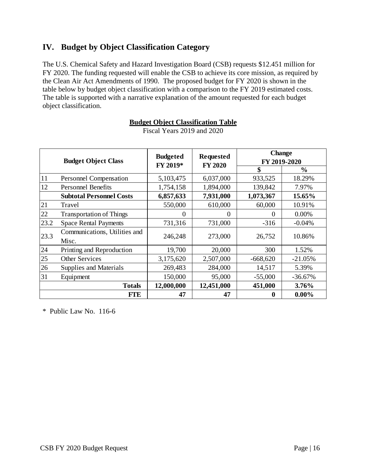# <span id="page-15-0"></span>**IV. Budget by Object Classification Category**

The U.S. Chemical Safety and Hazard Investigation Board (CSB) requests \$12.451 million for FY 2020. The funding requested will enable the CSB to achieve its core mission, as required by the Clean Air Act Amendments of 1990. The proposed budget for FY 2020 is shown in the table below by budget object classification with a comparison to the FY 2019 estimated costs. The table is supported with a narrative explanation of the amount requested for each budget object classification.

|      | <b>Budget Object Class</b>      | <b>Budgeted</b><br>FY 2019* | <b>Requested</b><br><b>FY 2020</b> | <b>Change</b><br>FY 2019-2020 |               |
|------|---------------------------------|-----------------------------|------------------------------------|-------------------------------|---------------|
|      |                                 |                             |                                    | \$                            | $\frac{0}{0}$ |
| 11   | Personnel Compensation          | 5,103,475                   | 6,037,000                          | 933,525                       | 18.29%        |
| 12   | <b>Personnel Benefits</b>       | 1,754,158                   | 1,894,000                          | 139,842                       | 7.97%         |
|      | <b>Subtotal Personnel Costs</b> | 6,857,633                   | 7,931,000                          | 1,073,367                     | 15.65%        |
| 21   | Travel                          | 550,000                     | 610,000                            | 60,000                        | 10.91%        |
| 22   | <b>Transportation of Things</b> | 0                           | 0                                  | $\Omega$                      | 0.00%         |
| 23.2 | <b>Space Rental Payments</b>    | 731,316                     | 731,000                            | $-316$                        | $-0.04%$      |
| 23.3 | Communications, Utilities and   | 246,248                     | 273,000                            | 26,752                        | 10.86%        |
|      | Misc.                           |                             |                                    |                               |               |
| 24   | Printing and Reproduction       | 19,700                      | 20,000                             | 300                           | 1.52%         |
| 25   | <b>Other Services</b>           | 3,175,620                   | 2,507,000                          | $-668,620$                    | $-21.05%$     |
| 26   | Supplies and Materials          | 269,483                     | 284,000                            | 14,517                        | 5.39%         |
| 31   | Equipment                       | 150,000                     | 95,000                             | $-55,000$                     | $-36.67%$     |
|      | <b>Totals</b>                   | 12,000,000                  | 12,451,000                         | 451,000                       | 3.76%         |
|      | <b>FTE</b>                      | 47                          | 47                                 | $\mathbf 0$                   | $0.00\%$      |

**Budget Object Classification Table** Fiscal Years 2019 and 2020

\* Public Law No. 116-6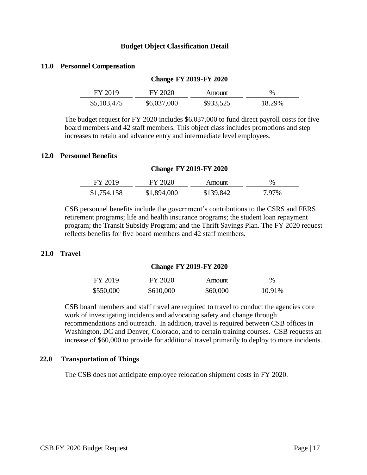#### **Budget Object Classification Detail**

#### **11.0 Personnel Compensation**

| $C1$ $C2$ $C1$ $C2$ $C2$ $C3$ |             |           |        |  |  |
|-------------------------------|-------------|-----------|--------|--|--|
| FY 2019                       | FY 2020     | Amount    | $\%$   |  |  |
| \$5,103,475                   | \$6,037,000 | \$933,525 | 18.29% |  |  |

**Change FY 2019-FY 2020**

The budget request for FY 2020 includes \$6.037,000 to fund direct payroll costs for five board members and 42 staff members. This object class includes promotions and step increases to retain and advance entry and intermediate level employees.

#### **12.0 Personnel Benefits**

#### **Change FY 2019-FY 2020**

| FY 2019     | FY 2020     | Amount    | $\%$  |
|-------------|-------------|-----------|-------|
| \$1,754,158 | \$1,894,000 | \$139,842 | 7.97% |

CSB personnel benefits include the government's contributions to the CSRS and FERS retirement programs; life and health insurance programs; the student loan repayment program; the Transit Subsidy Program; and the Thrift Savings Plan. The FY 2020 request reflects benefits for five board members and 42 staff members.

#### **21.0 Travel**

#### **Change FY 2019-FY 2020**

| FY 2019   | FY 2020   | Amount   | $\%$   |
|-----------|-----------|----------|--------|
| \$550,000 | \$610,000 | \$60,000 | 10.91% |

CSB board members and staff travel are required to travel to conduct the agencies core work of investigating incidents and advocating safety and change through recommendations and outreach. In addition, travel is required between CSB offices in Washington, DC and Denver, Colorado, and to certain training courses. CSB requests an increase of \$60,000 to provide for additional travel primarily to deploy to more incidents.

#### **22.0 Transportation of Things**

The CSB does not anticipate employee relocation shipment costs in FY 2020.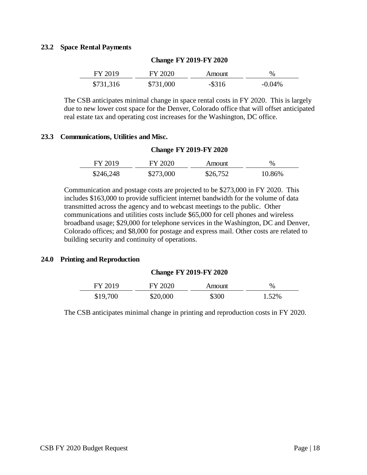#### **23.2 Space Rental Payments**

| FY 2019   | FY 2020   | Amount    | $\%$      |
|-----------|-----------|-----------|-----------|
| \$731,316 | \$731,000 | $-$ \$316 | $-0.04\%$ |

#### **Change FY 2019-FY 2020**

The CSB anticipates minimal change in space rental costs in FY 2020. This is largely due to new lower cost space for the Denver, Colorado office that will offset anticipated real estate tax and operating cost increases for the Washington, DC office.

#### **23.3 Communications, Utilities and Misc.**

#### **Change FY 2019-FY 2020**

| FY 2019   | FY 2020   | Amount   | $\%$   |
|-----------|-----------|----------|--------|
| \$246,248 | \$273,000 | \$26,752 | 10.86% |

Communication and postage costs are projected to be \$273,000 in FY 2020. This includes \$163,000 to provide sufficient internet bandwidth for the volume of data transmitted across the agency and to webcast meetings to the public. Other communications and utilities costs include \$65,000 for cell phones and wireless broadband usage; \$29,000 for telephone services in the Washington, DC and Denver, Colorado offices; and \$8,000 for postage and express mail. Other costs are related to building security and continuity of operations.

#### **24.0 Printing and Reproduction**

#### **Change FY 2019-FY 2020**

| FY 2019  | FY 2020  | Amount | $\frac{0}{0}$ |
|----------|----------|--------|---------------|
| \$19,700 | \$20,000 | \$300  | 1.52%         |

The CSB anticipates minimal change in printing and reproduction costs in FY 2020.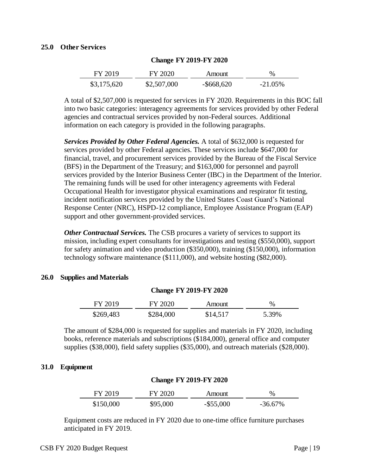#### **25.0 Other Services**

| FY 2019     | FY 2020     | Amount        | $\%$       |
|-------------|-------------|---------------|------------|
| \$3,175,620 | \$2,507,000 | $-$ \$668,620 | $-21.05\%$ |

#### **Change FY 2019-FY 2020**

A total of \$2,507,000 is requested for services in FY 2020. Requirements in this BOC fall into two basic categories: interagency agreements for services provided by other Federal agencies and contractual services provided by non-Federal sources. Additional information on each category is provided in the following paragraphs.

*Services Provided by Other Federal Agencies.* A total of \$632,000 is requested for services provided by other Federal agencies. These services include \$647,000 for financial, travel, and procurement services provided by the Bureau of the Fiscal Service (BFS) in the Department of the Treasury; and \$163,000 for personnel and payroll services provided by the Interior Business Center (IBC) in the Department of the Interior. The remaining funds will be used for other interagency agreements with Federal Occupational Health for investigator physical examinations and respirator fit testing, incident notification services provided by the United States Coast Guard's National Response Center (NRC), HSPD-12 compliance, Employee Assistance Program (EAP) support and other government-provided services.

*Other Contractual Services.* The CSB procures a variety of services to support its mission, including expert consultants for investigations and testing (\$550,000), support for safety animation and video production (\$350,000), training (\$150,000), information technology software maintenance (\$111,000), and website hosting (\$82,000).

#### **26.0 Supplies and Materials**

| <b>Change FY 2019-FY 2020</b> |           |          |       |  |  |
|-------------------------------|-----------|----------|-------|--|--|
| FY 2019                       | FY 2020   | Amount   | $\%$  |  |  |
| \$269,483                     | \$284,000 | \$14,517 | 5.39% |  |  |

The amount of \$284,000 is requested for supplies and materials in FY 2020, including books, reference materials and subscriptions (\$184,000), general office and computer supplies (\$38,000), field safety supplies (\$35,000), and outreach materials (\$28,000).

#### **31.0 Equipment**

| FY 2019   | FY 2020  | Amount       | $\%$       |  |
|-----------|----------|--------------|------------|--|
| \$150,000 | \$95,000 | $-$ \$55,000 | $-36.67\%$ |  |

<span id="page-18-0"></span>**Change FY 2019-FY 2020**

Equipment costs are reduced in FY 2020 due to one-time office furniture purchases anticipated in FY 2019.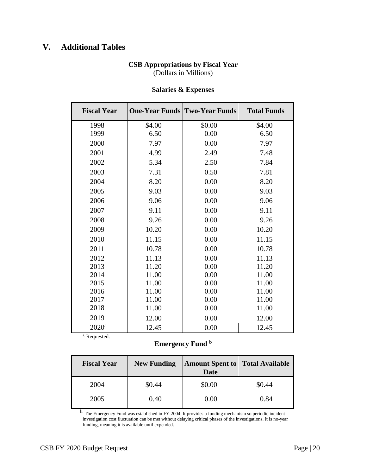# **V. Additional Tables**

# **CSB Appropriations by Fiscal Year** (Dollars in Millions)

| <b>Fiscal Year</b> |        | <b>One-Year Funds Two-Year Funds</b> | <b>Total Funds</b> |
|--------------------|--------|--------------------------------------|--------------------|
| 1998               | \$4.00 | \$0.00                               | \$4.00             |
| 1999               | 6.50   | 0.00                                 | 6.50               |
| 2000               | 7.97   | 0.00                                 | 7.97               |
| 2001               | 4.99   | 2.49                                 | 7.48               |
| 2002               | 5.34   | 2.50                                 | 7.84               |
| 2003               | 7.31   | 0.50                                 | 7.81               |
| 2004               | 8.20   | 0.00                                 | 8.20               |
| 2005               | 9.03   | 0.00                                 | 9.03               |
| 2006               | 9.06   | 0.00                                 | 9.06               |
| 2007               | 9.11   | 0.00                                 | 9.11               |
| 2008               | 9.26   | 0.00                                 | 9.26               |
| 2009               | 10.20  | 0.00                                 | 10.20              |
| 2010               | 11.15  | 0.00                                 | 11.15              |
| 2011               | 10.78  | 0.00                                 | 10.78              |
| 2012               | 11.13  | 0.00                                 | 11.13              |
| 2013               | 11.20  | 0.00                                 | 11.20              |
| 2014               | 11.00  | 0.00                                 | 11.00              |
| 2015               | 11.00  | 0.00                                 | 11.00              |
| 2016               | 11.00  | 0.00                                 | 11.00              |
| 2017               | 11.00  | 0.00                                 | 11.00              |
| 2018               | 11.00  | 0.00                                 | 11.00              |
| 2019               | 12.00  | 0.00                                 | 12.00              |
| 2020 <sup>a</sup>  | 12.45  | 0.00                                 | 12.45              |
| a. Requested.      |        |                                      |                    |

# **Salaries & Expenses**

**Emergency Fund <sup>b</sup>**

| <b>Fiscal Year</b> | <b>New Funding</b> | <b>Amount Spent to Total Available</b><br>Date |        |
|--------------------|--------------------|------------------------------------------------|--------|
| 2004               | \$0.44             | \$0.00                                         | \$0.44 |
| 2005               | 0.40               | 0.00                                           | 0.84   |

b. The Emergency Fund was established in FY 2004. It provides a funding mechanism so periodic incident investigation cost fluctuation can be met without delaying critical phases of the investigations. It is no-year funding, meaning it is available until expended.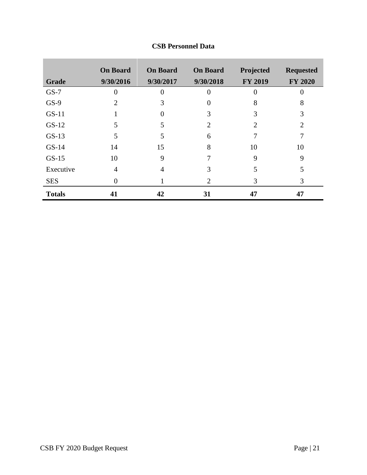|               | <b>On Board</b> | <b>On Board</b> | <b>On Board</b> | Projected      | <b>Requested</b> |
|---------------|-----------------|-----------------|-----------------|----------------|------------------|
| <b>Grade</b>  | 9/30/2016       | 9/30/2017       | 9/30/2018       | <b>FY 2019</b> | <b>FY 2020</b>   |
| $GS-7$        |                 | 0               |                 | 0              |                  |
| $GS-9$        | 2               | 3               |                 | 8              | 8                |
| $GS-11$       |                 |                 | 3               | 3              | 3                |
| $GS-12$       | 5               |                 | 2               | 2              | 2                |
| $GS-13$       | 5               | 5               | 6               |                |                  |
| $GS-14$       | 14              | 15              | 8               | 10             | 10               |
| $GS-15$       | 10              | 9               |                 | 9              | 9                |
| Executive     | 4               | 4               | 3               | 5              | 5                |
| <b>SES</b>    | $\Omega$        |                 | 2               | 3              | 3                |
| <b>Totals</b> | 41              | 42              | 31              | 47             | 47               |

# **CSB Personnel Data**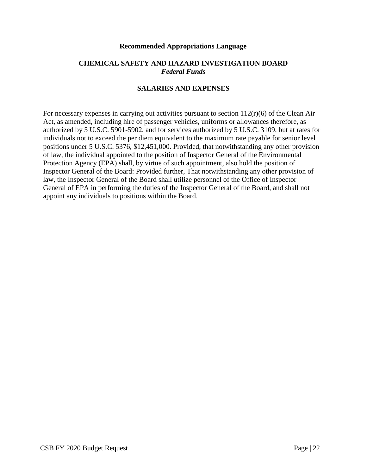#### **Recommended Appropriations Language**

### **CHEMICAL SAFETY AND HAZARD INVESTIGATION BOARD** *Federal Funds*

# **SALARIES AND EXPENSES**

For necessary expenses in carrying out activities pursuant to section  $112(r)(6)$  of the Clean Air Act, as amended, including hire of passenger vehicles, uniforms or allowances therefore, as authorized by 5 U.S.C. 5901-5902, and for services authorized by 5 U.S.C. 3109, but at rates for individuals not to exceed the per diem equivalent to the maximum rate payable for senior level positions under 5 U.S.C. 5376, \$12,451,000. Provided, that notwithstanding any other provision of law, the individual appointed to the position of Inspector General of the Environmental Protection Agency (EPA) shall, by virtue of such appointment, also hold the position of Inspector General of the Board: Provided further, That notwithstanding any other provision of law, the Inspector General of the Board shall utilize personnel of the Office of Inspector General of EPA in performing the duties of the Inspector General of the Board, and shall not appoint any individuals to positions within the Board.